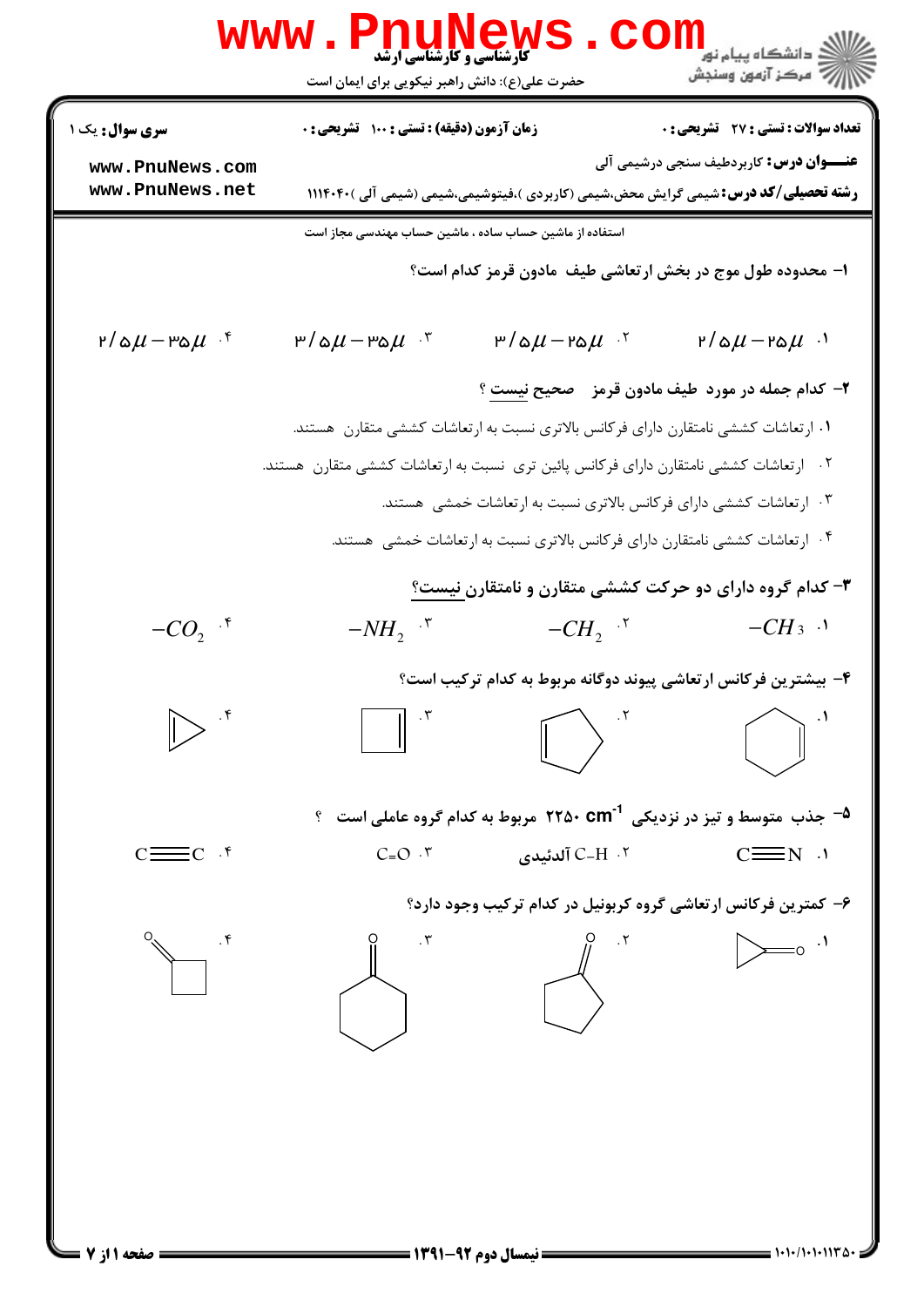|                                    | <b>www.PnuNews</b><br><b>گارشناسی و کارشناسی ارشد</b>                                       | ران دانشگاه پيام نور<br>ا <mark>ر</mark> ≫مرکز آزمون وسنجش         |  |  |  |
|------------------------------------|---------------------------------------------------------------------------------------------|--------------------------------------------------------------------|--|--|--|
|                                    | حضرت علی(ع): دانش راهبر نیکویی برای ایمان است                                               |                                                                    |  |  |  |
| <b>سری سوال :</b> یک               | زمان آزمون (دقیقه) : تستی : ۱۰۰٪ تشریحی : ۰                                                 | تعداد سوالات : تستي : 27 - تشريحي : 0                              |  |  |  |
| www.PnuNews.com<br>www.PnuNews.net | <b>رشته تحصیلی/کد درس:</b> شیمی گرایش محض،شیمی (کاربردی )،فیتوشیمی،شیمی (شیمی آلی ) ۱۱۱۴۰۴۰ | <b>عنـــوان درس:</b> کاربردطیف سنجی درشیمی آلی                     |  |  |  |
|                                    | استفاده از ماشین حساب ساده ، ماشین حساب مهندسی مجاز است                                     |                                                                    |  |  |  |
|                                    |                                                                                             | ۱– محدوده طول موج در بخش ارتعاشی طیف ًمادون قرمز کدام است؟         |  |  |  |
| ۳/۵ $\mu$ -۳۵ $\mu$ ۰۴             | ۳/۵ $\mu$ -۳۵ $\mu$ ۰۳<br>$P/\Delta \mu - P \Delta \mu$ <sup>.</sup>                        | $r/\Delta \mu - r \Delta \mu$ .                                    |  |  |  |
|                                    |                                                                                             | ۲- کدام جمله در مورد  طیف مادون قرمز۔ صحیح <u>نیست</u> ؟           |  |  |  |
|                                    | ۰۱ ارتعاشات کششی نامتقارن دارای فرکانس بالاتری نسبت به ارتعاشات کششی متقارن  هستند.         |                                                                    |  |  |  |
|                                    | ۰۲ ارتعاشات کششی نامتقارن دارای فرکانس پائین تری نسبت به ارتعاشات کششی متقارن هستند.        |                                                                    |  |  |  |
|                                    |                                                                                             | ۰۳ ارتعاشات کششی دارای فرکانس بالاتری نسبت به ارتعاشات خمشی هستند. |  |  |  |
|                                    | ۰۴ ارتعاشات کششی نامتقارن دارای فرکانس بالاتری نسبت به ارتعاشات خمشی هستند.                 |                                                                    |  |  |  |
|                                    |                                                                                             | ۳- کدام گروه دارای دو حرکت کششی متقارن و نامتقارن نیست؟            |  |  |  |
| $-CO_2$ <sup>+</sup>               | $-NH_2$ <sup>"</sup><br>$-CH_2$ <sup>5</sup>                                                | $-CH_3$ .                                                          |  |  |  |
|                                    |                                                                                             | ۴– بیشترین فرکانس ارتعاشی پیوند دوگانه مربوط به کدام ترکیب است؟    |  |  |  |
|                                    |                                                                                             |                                                                    |  |  |  |
|                                    | <sup>0</sup> جذب متوسط و تیز در نزدیکی ۲۲۵۰ Cm <sup>-1</sup> مربوط به کدام گروه عاملی است ۹ |                                                                    |  |  |  |
| $\equiv$ C $\cdot$ f               | $C = O \cdot 7$<br>۲.  C−H آلدئیدی                                                          | $C \equiv N$ $\cdot$                                               |  |  |  |
|                                    |                                                                                             | ۶- کمترین فرکانس ارتعاشی گروه کربونیل در کدام ترکیب وجود دارد؟     |  |  |  |
| $\cdot$ ۴                          |                                                                                             | $=$ ° $\cdot$ <sup>1</sup>                                         |  |  |  |
|                                    |                                                                                             |                                                                    |  |  |  |
|                                    |                                                                                             |                                                                    |  |  |  |
|                                    |                                                                                             |                                                                    |  |  |  |
|                                    |                                                                                             |                                                                    |  |  |  |
|                                    | <b>۔ نیمسال دوم</b>                                                                         | $1 - 1 - 11 - 111 - 0 - 1$                                         |  |  |  |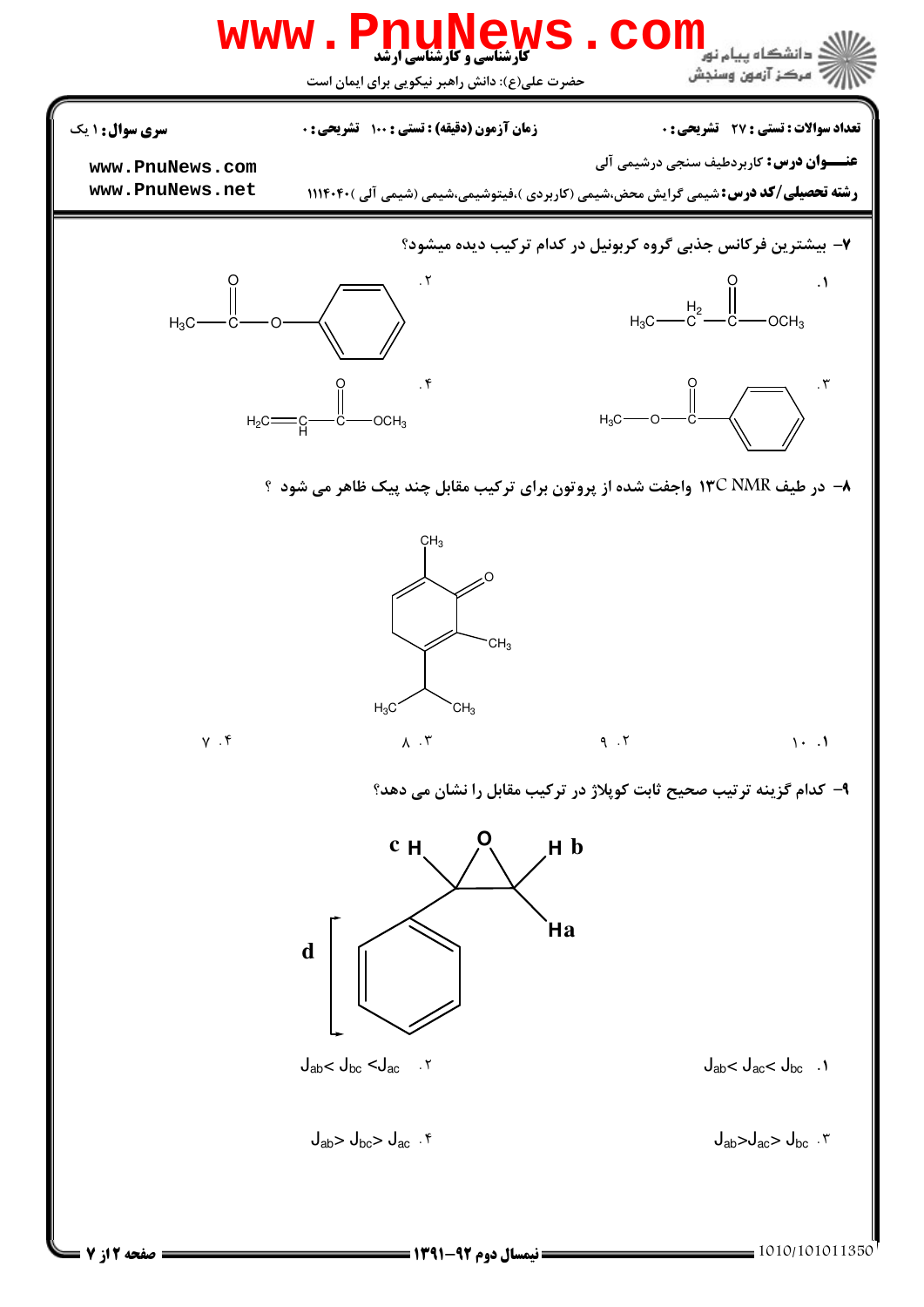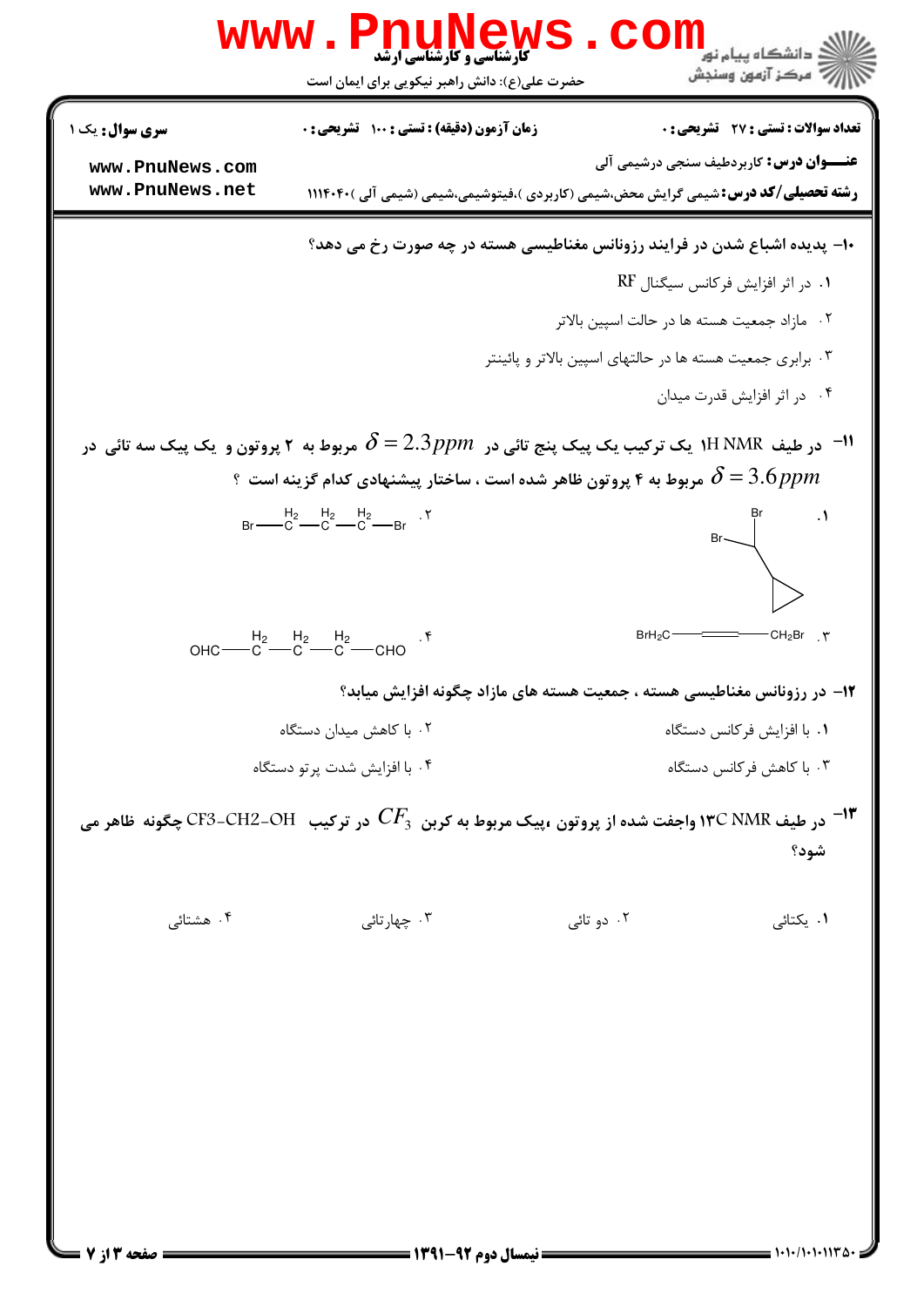|                                                                                                              | <b>www.PnuNews</b>                                                                                                     | CC                                                                      | ران دانشگاه پيام نور<br>ا <mark>ر</mark> ≫ مرکز آزمون وسنجش                                                                                                                                                                                                                                                                                         |  |  |
|--------------------------------------------------------------------------------------------------------------|------------------------------------------------------------------------------------------------------------------------|-------------------------------------------------------------------------|-----------------------------------------------------------------------------------------------------------------------------------------------------------------------------------------------------------------------------------------------------------------------------------------------------------------------------------------------------|--|--|
|                                                                                                              | حضرت علی(ع): دانش راهبر نیکویی برای ایمان است                                                                          |                                                                         |                                                                                                                                                                                                                                                                                                                                                     |  |  |
| <b>سری سوال :</b> یک ۱                                                                                       | زمان آزمون (دقیقه) : تستی : ۱۰۰ آتشریحی : ۰                                                                            |                                                                         | تعداد سوالات : تستى : 27 تشريحي : 0                                                                                                                                                                                                                                                                                                                 |  |  |
| www.PnuNews.com                                                                                              |                                                                                                                        | <b>عنـــوان درس:</b> کاربردطیف سنجی درشیمی آلی                          |                                                                                                                                                                                                                                                                                                                                                     |  |  |
| www.PnuNews.net                                                                                              | <b>رشته تحصیلی/کد درس:</b> شیمی گرایش محض،شیمی (کاربردی )،فیتوشیمی،شیمی (شیمی آلی ) ۱۱۱۴۰۴۰                            |                                                                         |                                                                                                                                                                                                                                                                                                                                                     |  |  |
| ۱۰- پدیده اشباع شدن در فرایند رزونانس مغناطیسی هسته در چه صورت رخ می دهد؟                                    |                                                                                                                        |                                                                         |                                                                                                                                                                                                                                                                                                                                                     |  |  |
|                                                                                                              |                                                                                                                        | ۰۱ در اثر افزایش فرکانس سیگنال RF                                       |                                                                                                                                                                                                                                                                                                                                                     |  |  |
|                                                                                                              |                                                                                                                        | ۰۲ مازاد جمعیت هسته ها در حالت اسپین بالاتر                             |                                                                                                                                                                                                                                                                                                                                                     |  |  |
|                                                                                                              |                                                                                                                        | ۰۳ برابری جمعیت هسته ها در حالتهای اسپین بالاتر و پائینتر               |                                                                                                                                                                                                                                                                                                                                                     |  |  |
|                                                                                                              |                                                                                                                        |                                                                         | ۰۴ در اثر افزایش قدرت میدان                                                                                                                                                                                                                                                                                                                         |  |  |
|                                                                                                              | ا- در طیف $\,$ NMR ایک ترکیب یک پیک پنج تائی در $\,S=2.3\,pp$ مربوط به ۲ پروتون و یک پیک سه تائی در $\,$ -۱۱ $\,$      |                                                                         |                                                                                                                                                                                                                                                                                                                                                     |  |  |
|                                                                                                              | ۹ مربوط به ۴ پروتون ظاهر شده است ، ساختار پیشنهادی کدام گزینه است $\delta$ 3.6 $\rho$ pm                               |                                                                         |                                                                                                                                                                                                                                                                                                                                                     |  |  |
|                                                                                                              | $Br \longrightarrow C$ $B_2 \longrightarrow C$ $B_2 \longrightarrow C$ $B_1 \longrightarrow C$ $B_2 \longrightarrow C$ |                                                                         |                                                                                                                                                                                                                                                                                                                                                     |  |  |
|                                                                                                              |                                                                                                                        |                                                                         | $\begin{picture}(120,110) \put(0,0){\line(1,0){10}} \put(15,0){\line(1,0){10}} \put(15,0){\line(1,0){10}} \put(15,0){\line(1,0){10}} \put(15,0){\line(1,0){10}} \put(15,0){\line(1,0){10}} \put(15,0){\line(1,0){10}} \put(15,0){\line(1,0){10}} \put(15,0){\line(1,0){10}} \put(15,0){\line(1,0){10}} \put(15,0){\line(1,0){10}} \put(15,0){\line$ |  |  |
|                                                                                                              |                                                                                                                        |                                                                         |                                                                                                                                                                                                                                                                                                                                                     |  |  |
|                                                                                                              | OHC $\begin{array}{ccc} H_2 & H_2 & H_2 \\ -C & -C & -C \end{array}$ CHO                                               | BrH <sub>2</sub> C                                                      | $CH_2Br$ . $\Upsilon$                                                                                                                                                                                                                                                                                                                               |  |  |
|                                                                                                              |                                                                                                                        | ۱۲– در رزونانس مغناطیسی هسته ، جمعیت هسته های مازاد چگونه افزایش میابد؟ |                                                                                                                                                                                                                                                                                                                                                     |  |  |
|                                                                                                              | ۰۲ با کاهش میدان دستگاه                                                                                                |                                                                         | ٠١. با افزايش فركانس دستگاه                                                                                                                                                                                                                                                                                                                         |  |  |
|                                                                                                              | ۰۴ با افزایش شدت پرتو دستگاه                                                                                           |                                                                         | ۰۳ با کاهش فر کانس دستگاه                                                                                                                                                                                                                                                                                                                           |  |  |
| در طیف ۱۳C NMR واجفت شده از پروتون ،پیک مربوط به کربن $C F_3$ در ترکیب $\,$ OH–CF3–CF3 چگونه ظاهر می $^{-1}$ |                                                                                                                        |                                                                         |                                                                                                                                                                                                                                                                                                                                                     |  |  |
|                                                                                                              |                                                                                                                        |                                                                         | شود؟                                                                                                                                                                                                                                                                                                                                                |  |  |
|                                                                                                              |                                                                                                                        |                                                                         |                                                                                                                                                                                                                                                                                                                                                     |  |  |
| ۰۴ هشتائی                                                                                                    | ۰۳ چهارتائی                                                                                                            | ۰۲ دو تائی                                                              | ۰۱ یکتائی                                                                                                                                                                                                                                                                                                                                           |  |  |
|                                                                                                              |                                                                                                                        |                                                                         |                                                                                                                                                                                                                                                                                                                                                     |  |  |
|                                                                                                              |                                                                                                                        |                                                                         |                                                                                                                                                                                                                                                                                                                                                     |  |  |
|                                                                                                              |                                                                                                                        |                                                                         |                                                                                                                                                                                                                                                                                                                                                     |  |  |
|                                                                                                              |                                                                                                                        |                                                                         |                                                                                                                                                                                                                                                                                                                                                     |  |  |
|                                                                                                              |                                                                                                                        |                                                                         |                                                                                                                                                                                                                                                                                                                                                     |  |  |
|                                                                                                              |                                                                                                                        |                                                                         |                                                                                                                                                                                                                                                                                                                                                     |  |  |
|                                                                                                              |                                                                                                                        |                                                                         |                                                                                                                                                                                                                                                                                                                                                     |  |  |
| <b>صفحه 3 ا: 7</b>                                                                                           |                                                                                                                        |                                                                         | 1010/101011200                                                                                                                                                                                                                                                                                                                                      |  |  |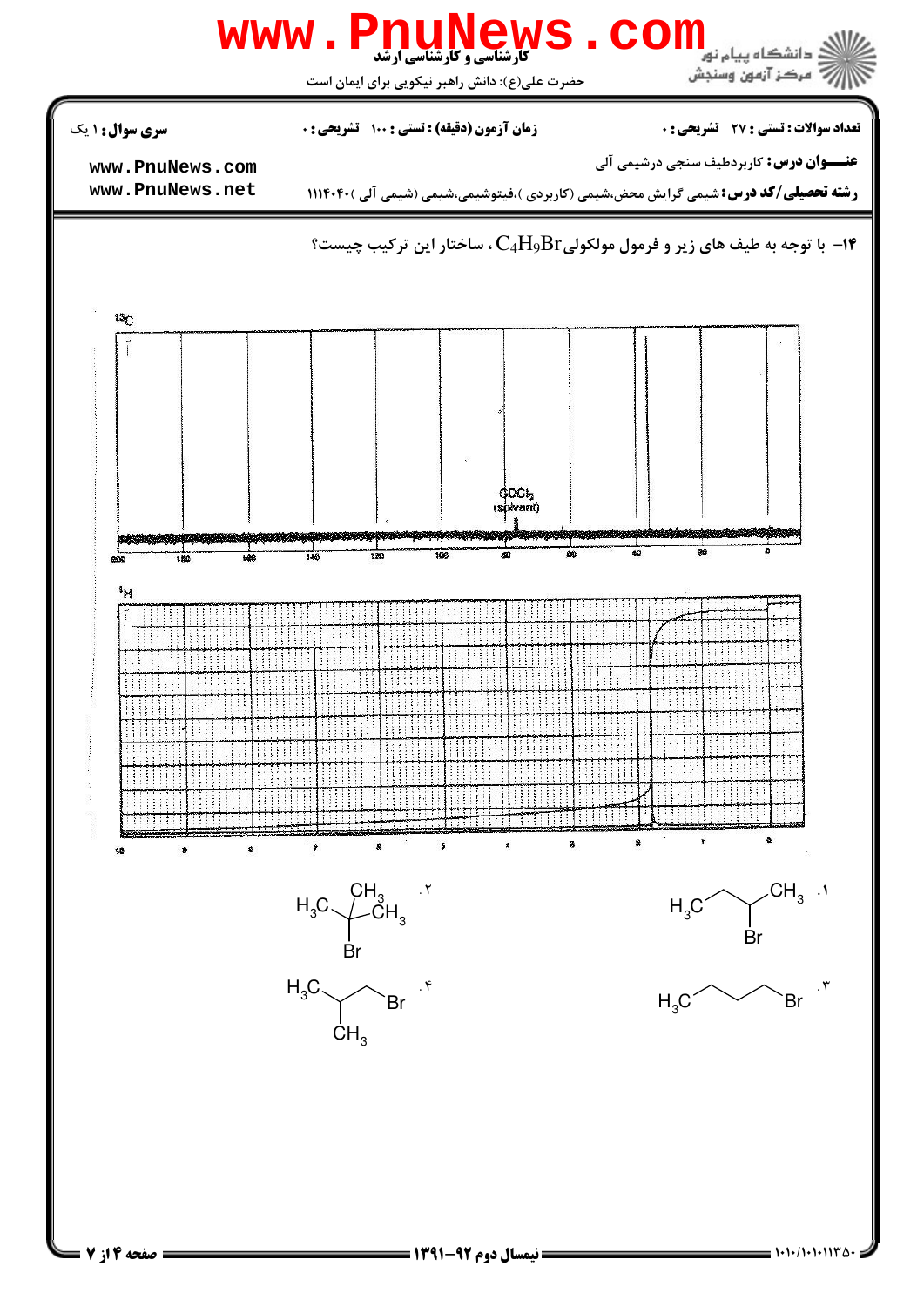

صفحه ۶ از ۷

 $= 1.11/1.11172$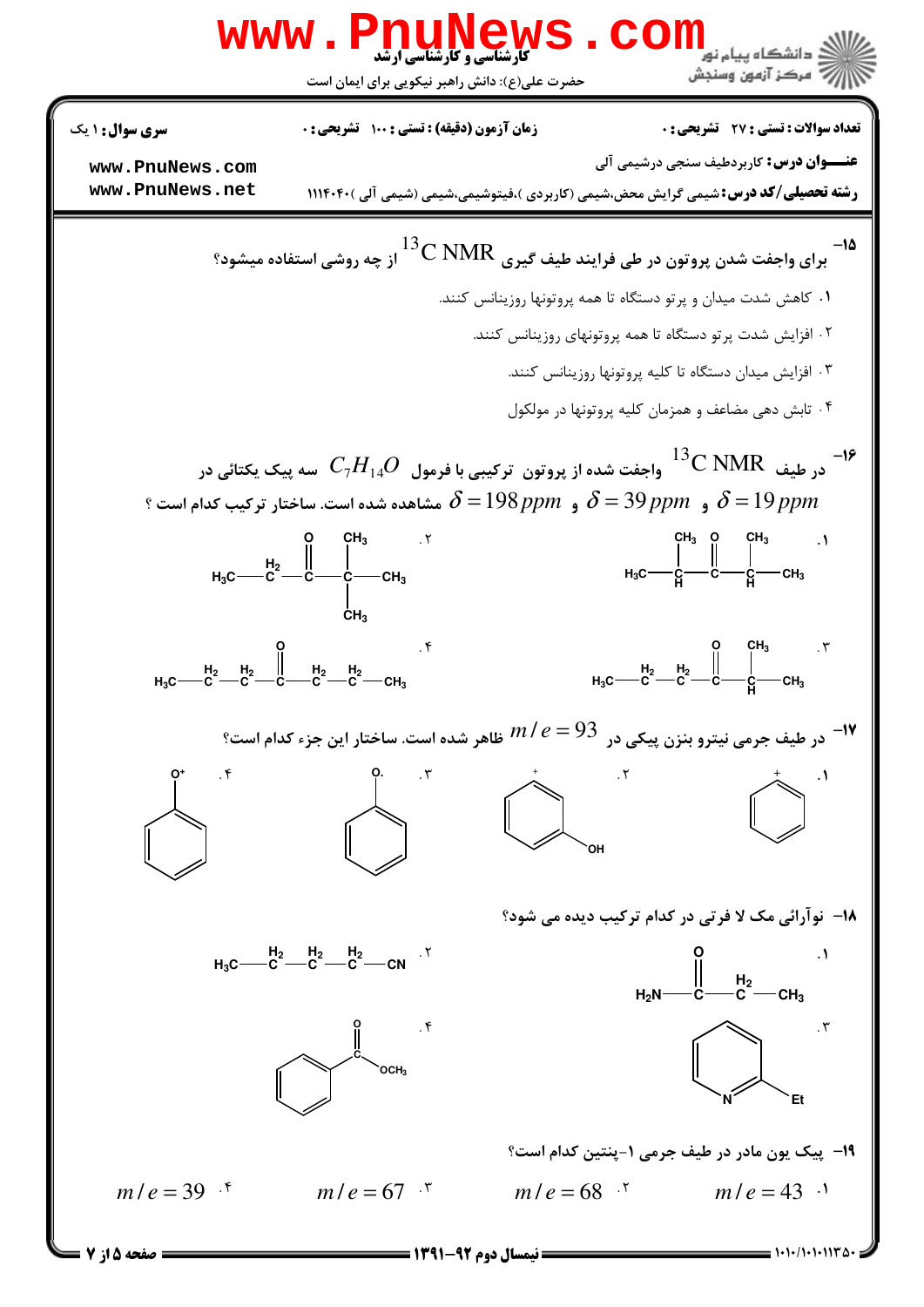

صفحه 5 از 7 =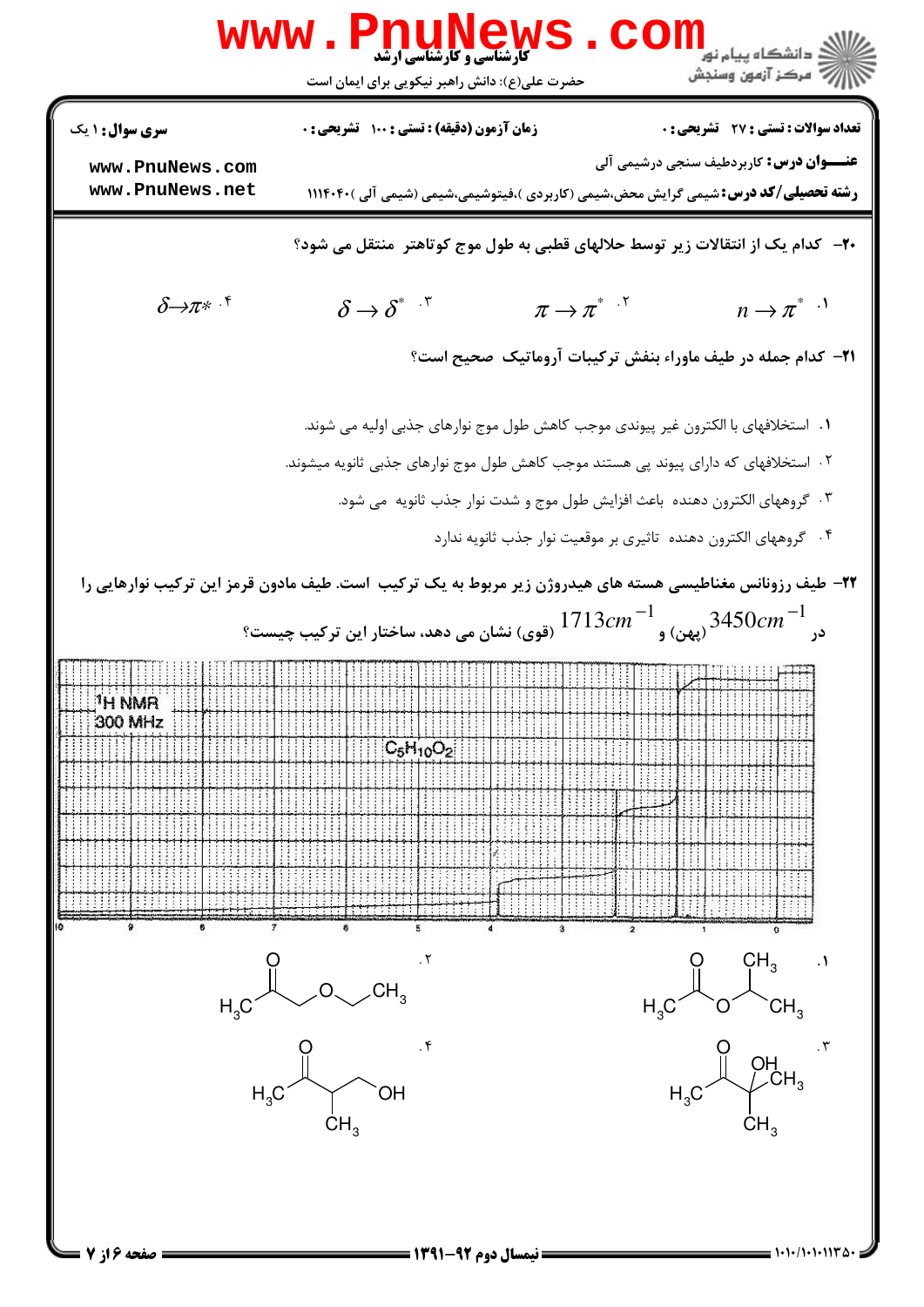